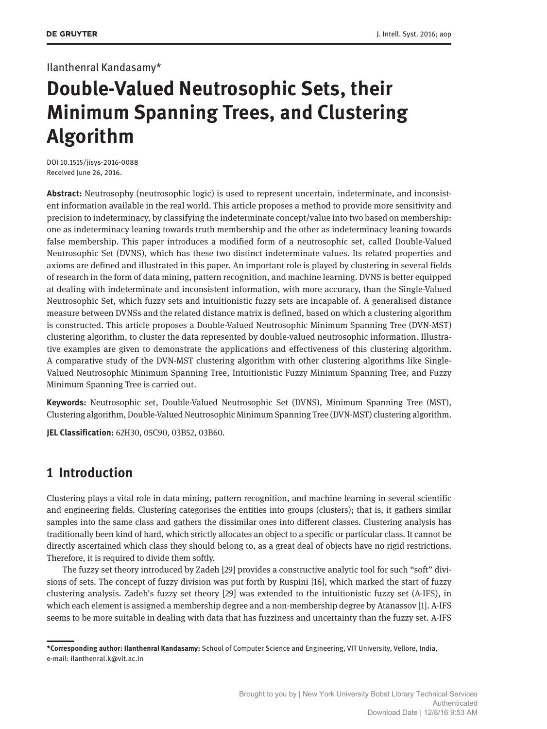## Ilanthenral Kandasamy\*

# **Double-Valued Neutrosophic Sets, their Minimum Spanning Trees, and Clustering Algorithm**

DOI 10.1515/jisys-2016-0088 Received June 26, 2016.

**Abstract:** Neutrosophy (neutrosophic logic) is used to represent uncertain, indeterminate, and inconsistent information available in the real world. This article proposes a method to provide more sensitivity and precision to indeterminacy, by classifying the indeterminate concept/value into two based on membership: one as indeterminacy leaning towards truth membership and the other as indeterminacy leaning towards false membership. This paper introduces a modified form of a neutrosophic set, called Double-Valued Neutrosophic Set (DVNS), which has these two distinct indeterminate values. Its related properties and axioms are defined and illustrated in this paper. An important role is played by clustering in several fields of research in the form of data mining, pattern recognition, and machine learning. DVNS is better equipped at dealing with indeterminate and inconsistent information, with more accuracy, than the Single-Valued Neutrosophic Set, which fuzzy sets and intuitionistic fuzzy sets are incapable of. A generalised distance measure between DVNSs and the related distance matrix is defined, based on which a clustering algorithm is constructed. This article proposes a Double-Valued Neutrosophic Minimum Spanning Tree (DVN-MST) clustering algorithm, to cluster the data represented by double-valued neutrosophic information. Illustrative examples are given to demonstrate the applications and effectiveness of this clustering algorithm. A comparative study of the DVN-MST clustering algorithm with other clustering algorithms like Single-Valued Neutrosophic Minimum Spanning Tree, Intuitionistic Fuzzy Minimum Spanning Tree, and Fuzzy Minimum Spanning Tree is carried out.

**Keywords:** Neutrosophic set, Double-Valued Neutrosophic Set (DVNS), Minimum Spanning Tree (MST), Clustering algorithm, Double-Valued Neutrosophic Minimum Spanning Tree (DVN-MST) clustering algorithm.

**JEL Classification:** 62H30, 05C90, 03B52, 03B60.

# **1 Introduction**

Clustering plays a vital role in data mining, pattern recognition, and machine learning in several scientific and engineering fields. Clustering categorises the entities into groups (clusters); that is, it gathers similar samples into the same class and gathers the dissimilar ones into different classes. Clustering analysis has traditionally been kind of hard, which strictly allocates an object to a specific or particular class. It cannot be directly ascertained which class they should belong to, as a great deal of objects have no rigid restrictions. Therefore, it is required to divide them softly.

The fuzzy set theory introduced by Zadeh [29] provides a constructive analytic tool for such "soft" divisions of sets. The concept of fuzzy division was put forth by Ruspini [16], which marked the start of fuzzy clustering analysis. Zadeh's fuzzy set theory [29] was extended to the intuitionistic fuzzy set (A-IFS), in which each element is assigned a membership degree and a non-membership degree by Atanassov [1]. A-IFS seems to be more suitable in dealing with data that has fuzziness and uncertainty than the fuzzy set. A-IFS

**<sup>\*</sup>Corresponding author: Ilanthenral Kandasamy:** School of Computer Science and Engineering, VIT University, Vellore, India, e-mail: ilanthenral.k@vit.ac.in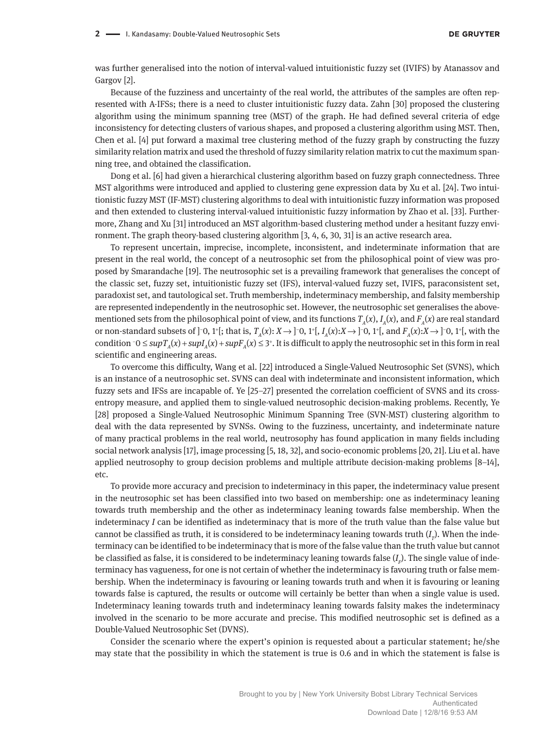was further generalised into the notion of interval-valued intuitionistic fuzzy set (IVIFS) by Atanassov and Gargov [2].

Because of the fuzziness and uncertainty of the real world, the attributes of the samples are often represented with A-IFSs; there is a need to cluster intuitionistic fuzzy data. Zahn [30] proposed the clustering algorithm using the minimum spanning tree (MST) of the graph. He had defined several criteria of edge inconsistency for detecting clusters of various shapes, and proposed a clustering algorithm using MST. Then, Chen et al. [4] put forward a maximal tree clustering method of the fuzzy graph by constructing the fuzzy similarity relation matrix and used the threshold of fuzzy similarity relation matrix to cut the maximum spanning tree, and obtained the classification.

Dong et al. [6] had given a hierarchical clustering algorithm based on fuzzy graph connectedness. Three MST algorithms were introduced and applied to clustering gene expression data by Xu et al. [24]. Two intuitionistic fuzzy MST (IF-MST) clustering algorithms to deal with intuitionistic fuzzy information was proposed and then extended to clustering interval-valued intuitionistic fuzzy information by Zhao et al. [33]. Furthermore, Zhang and Xu [31] introduced an MST algorithm-based clustering method under a hesitant fuzzy environment. The graph theory-based clustering algorithm [3, 4, 6, 30, 31] is an active research area.

To represent uncertain, imprecise, incomplete, inconsistent, and indeterminate information that are present in the real world, the concept of a neutrosophic set from the philosophical point of view was proposed by Smarandache [19]. The neutrosophic set is a prevailing framework that generalises the concept of the classic set, fuzzy set, intuitionistic fuzzy set (IFS), interval-valued fuzzy set, IVIFS, paraconsistent set, paradoxist set, and tautological set. Truth membership, indeterminacy membership, and falsity membership are represented independently in the neutrosophic set. However, the neutrosophic set generalises the abovementioned sets from the philosophical point of view, and its functions  $T_A(x)$ ,  $I_A(x)$ , and  $F_A(x)$  are real standard or non-standard subsets of ]−0, 1<sup>+</sup>[; that is, *T<sub>A</sub>*(*x*): *X* → ]−0, 1<sup>+</sup>[, *I<sub>A</sub>*(*x*):*X* → ]−0, 1<sup>+</sup>[, and *F<sub>A</sub>*(*x*):*X* → ]−0, 1<sup>+</sup>[, with the condition  $\text{-}0$  ≤  $\text{sup}T_A(x)$  +  $\text{sup}T_A(x)$  +  $\text{sup}F_A(x)$  ≤ 3<sup>+</sup>. It is difficult to apply the neutrosophic set in this form in real scientific and engineering areas.

To overcome this difficulty, Wang et al. [22] introduced a Single-Valued Neutrosophic Set (SVNS), which is an instance of a neutrosophic set. SVNS can deal with indeterminate and inconsistent information, which fuzzy sets and IFSs are incapable of. Ye [25–27] presented the correlation coefficient of SVNS and its crossentropy measure, and applied them to single-valued neutrosophic decision-making problems. Recently, Ye [28] proposed a Single-Valued Neutrosophic Minimum Spanning Tree (SVN-MST) clustering algorithm to deal with the data represented by SVNSs. Owing to the fuzziness, uncertainty, and indeterminate nature of many practical problems in the real world, neutrosophy has found application in many fields including social network analysis [17], image processing [5, 18, 32], and socio-economic problems [20, 21]. Liu et al. have applied neutrosophy to group decision problems and multiple attribute decision-making problems [8–14], etc.

To provide more accuracy and precision to indeterminacy in this paper, the indeterminacy value present in the neutrosophic set has been classified into two based on membership: one as indeterminacy leaning towards truth membership and the other as indeterminacy leaning towards false membership. When the indeterminacy *I* can be identified as indeterminacy that is more of the truth value than the false value but cannot be classified as truth, it is considered to be indeterminacy leaning towards truth  $(I_p$ ). When the indeterminacy can be identified to be indeterminacy that is more of the false value than the truth value but cannot be classified as false, it is considered to be indeterminacy leaning towards false  $(I_{\scriptscriptstyle F}\!)$ . The single value of indeterminacy has vagueness, for one is not certain of whether the indeterminacy is favouring truth or false membership. When the indeterminacy is favouring or leaning towards truth and when it is favouring or leaning towards false is captured, the results or outcome will certainly be better than when a single value is used. Indeterminacy leaning towards truth and indeterminacy leaning towards falsity makes the indeterminacy involved in the scenario to be more accurate and precise. This modified neutrosophic set is defined as a Double-Valued Neutrosophic Set (DVNS).

Consider the scenario where the expert's opinion is requested about a particular statement; he/she may state that the possibility in which the statement is true is 0.6 and in which the statement is false is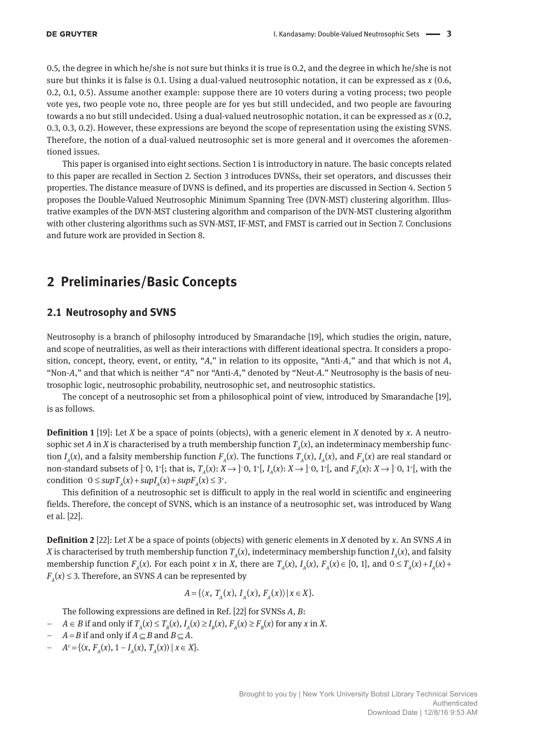0.5, the degree in which he/she is not sure but thinks it is true is 0.2, and the degree in which he/she is not sure but thinks it is false is 0.1. Using a dual-valued neutrosophic notation, it can be expressed as *x* (0.6, 0.2, 0.1, 0.5). Assume another example: suppose there are 10 voters during a voting process; two people vote yes, two people vote no, three people are for yes but still undecided, and two people are favouring towards a no but still undecided. Using a dual-valued neutrosophic notation, it can be expressed as *x* (0.2, 0.3, 0.3, 0.2). However, these expressions are beyond the scope of representation using the existing SVNS. Therefore, the notion of a dual-valued neutrosophic set is more general and it overcomes the aforementioned issues.

This paper is organised into eight sections. Section 1 is introductory in nature. The basic concepts related to this paper are recalled in Section 2. Section 3 introduces DVNSs, their set operators, and discusses their properties. The distance measure of DVNS is defined, and its properties are discussed in Section 4. Section 5 proposes the Double-Valued Neutrosophic Minimum Spanning Tree (DVN-MST) clustering algorithm. Illustrative examples of the DVN-MST clustering algorithm and comparison of the DVN-MST clustering algorithm with other clustering algorithms such as SVN-MST, IF-MST, and FMST is carried out in Section 7. Conclusions and future work are provided in Section 8.

# **2 Preliminaries/Basic Concepts**

## **2.1 Neutrosophy and SVNS**

Neutrosophy is a branch of philosophy introduced by Smarandache [19], which studies the origin, nature, and scope of neutralities, as well as their interactions with different ideational spectra. It considers a proposition, concept, theory, event, or entity, "*A,*" in relation to its opposite, "Anti-*A*," and that which is not *A*, "Non-*A*," and that which is neither "*A*" nor "Anti-*A*," denoted by "Neut-*A*." Neutrosophy is the basis of neutrosophic logic, neutrosophic probability, neutrosophic set, and neutrosophic statistics.

The concept of a neutrosophic set from a philosophical point of view, introduced by Smarandache [19], is as follows.

**Definition 1** [19]: Let *X* be a space of points (objects), with a generic element in *X* denoted by *x*. A neutrosophic set *A* in *X* is characterised by a truth membership function  $T_a(x)$ , an indeterminacy membership function  $I_A(x)$ , and a falsity membership function  $F_A(x)$ . The functions  $T_A(x)$ ,  $I_A(x)$ , and  $F_A(x)$  are real standard or non-standard subsets of ]<sup>-</sup>0, 1<sup>+</sup>[; that is,  $T_A(x): X \to ]$ <sup>-</sup>0, 1<sup>+</sup>[,  $I_A(x): X \to ]$ <sup>-</sup>0, 1<sup>+</sup>[, and  $F_A(x): X \to ]$ <sup>-</sup>0, 1<sup>+</sup>[, with the condition  $\bar{o}$  ≤ *sup* $T_A(x)$  + *sup* $T_A(x)$  + *sup* $F_A(x)$  ≤ 3<sup>+</sup>.

This definition of a neutrosophic set is difficult to apply in the real world in scientific and engineering fields. Therefore, the concept of SVNS, which is an instance of a neutrosophic set, was introduced by Wang et al. [22].

**Definition 2** [22]: Let *X* be a space of points (objects) with generic elements in *X* denoted by *x*. An SVNS *A* in *X* is characterised by truth membership function  $T_A(x)$ , indeterminacy membership function  $I_A(x)$ , and falsity membership function  $F_A(x)$ . For each point x in X, there are  $T_A(x)$ ,  $I_A(x)$ ,  $F_A(x) \in [0, 1]$ , and  $0 \le T_A(x) + I_A(x) + I_A(x)$  $F_A(x) \leq 3$ . Therefore, an SVNS *A* can be represented by

$$
A = \{ \langle x, T_A(x), I_A(x), F_A(x) \rangle \, | \, x \in X \}.
$$

The following expressions are defined in Ref. [22] for SVNSs *A*, *B*:

- *− A* ∈ *B* if and only if  $T_A(x) \le T_B(x)$ ,  $I_A(x) \ge I_B(x)$ ,  $F_A(x) \ge F_B(x)$  for any *x* in *X*.
- *A* = *B* if and only if *A* ⊆ *B* and *B* ⊆ *A*.
- $A^c = \{ \langle x, F_A(x), 1 I_A(x), T_A(x) \rangle \mid x \in X \}.$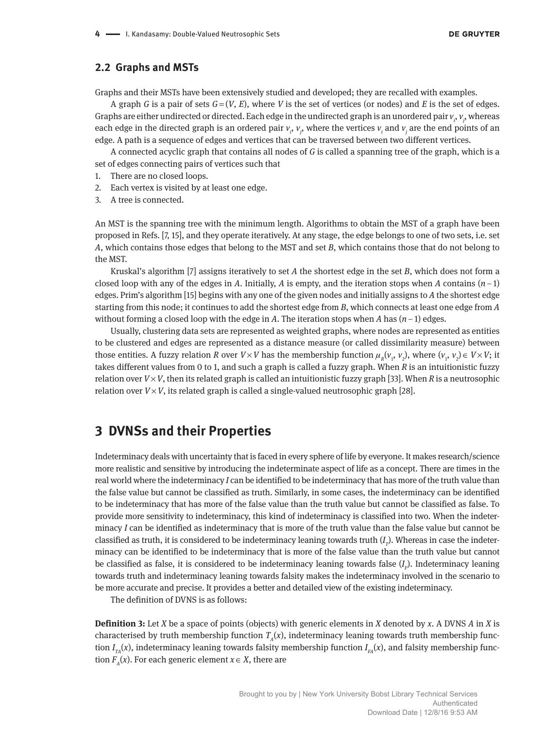#### **2.2 Graphs and MSTs**

Graphs and their MSTs have been extensively studied and developed; they are recalled with examples.

A graph *G* is a pair of sets  $G = (V, E)$ , where *V* is the set of vertices (or nodes) and *E* is the set of edges. Graphs are either undirected or directed. Each edge in the undirected graph is an unordered pair  $v_i$ ,  $v_j$ , whereas each edge in the directed graph is an ordered pair  $v_i$ ,  $v_j$ , where the vertices  $v_i$  and  $v_j$  are the end points of an edge. A path is a sequence of edges and vertices that can be traversed between two different vertices.

A connected acyclic graph that contains all nodes of *G* is called a spanning tree of the graph, which is a set of edges connecting pairs of vertices such that

- 1. There are no closed loops.
- 2. Each vertex is visited by at least one edge.
- 3. A tree is connected.

An MST is the spanning tree with the minimum length. Algorithms to obtain the MST of a graph have been proposed in Refs. [7, 15], and they operate iteratively. At any stage, the edge belongs to one of two sets, i.e. set *A*, which contains those edges that belong to the MST and set *B*, which contains those that do not belong to the MST.

Kruskal's algorithm [7] assigns iteratively to set *A* the shortest edge in the set *B*, which does not form a closed loop with any of the edges in *A*. Initially, *A* is empty, and the iteration stops when *A* contains  $(n-1)$ edges. Prim's algorithm [15] begins with any one of the given nodes and initially assigns to *A* the shortest edge starting from this node; it continues to add the shortest edge from *B*, which connects at least one edge from *A* without forming a closed loop with the edge in *A*. The iteration stops when *A* has (*n* − 1) edges.

Usually, clustering data sets are represented as weighted graphs, where nodes are represented as entities to be clustered and edges are represented as a distance measure (or called dissimilarity measure) between those entities. A fuzzy relation *R* over *V* × *V* has the membership function  $\mu_R(v_1, v_2)$ , where  $(v_1, v_2) \in V \times V$ ; it takes different values from 0 to 1, and such a graph is called a fuzzy graph. When *R* is an intuitionistic fuzzy relation over  $V \times V$ , then its related graph is called an intuitionistic fuzzy graph [33]. When *R* is a neutrosophic relation over  $V \times V$ , its related graph is called a single-valued neutrosophic graph [28].

## **3 DVNSs and their Properties**

Indeterminacy deals with uncertainty that is faced in every sphere of life by everyone. It makes research/science more realistic and sensitive by introducing the indeterminate aspect of life as a concept. There are times in the real world where the indeterminacy *I* can be identified to be indeterminacy that has more of the truth value than the false value but cannot be classified as truth. Similarly, in some cases, the indeterminacy can be identified to be indeterminacy that has more of the false value than the truth value but cannot be classified as false. To provide more sensitivity to indeterminacy, this kind of indeterminacy is classified into two. When the indeterminacy *I* can be identified as indeterminacy that is more of the truth value than the false value but cannot be classified as truth, it is considered to be indeterminacy leaning towards truth  $(I_{_{\it T}})$ . Whereas in case the indeterminacy can be identified to be indeterminacy that is more of the false value than the truth value but cannot be classified as false, it is considered to be indeterminacy leaning towards false (*I F* ). Indeterminacy leaning towards truth and indeterminacy leaning towards falsity makes the indeterminacy involved in the scenario to be more accurate and precise. It provides a better and detailed view of the existing indeterminacy.

The definition of DVNS is as follows:

**Definition 3:** Let *X* be a space of points (objects) with generic elements in *X* denoted by *x*. A DVNS *A* in *X* is characterised by truth membership function  $T_A(x)$ , indeterminacy leaning towards truth membership function  $I_{\scriptscriptstyle TA}(x)$ , indeterminacy leaning towards falsity membership function  $I_{\scriptscriptstyle FA}(x)$ , and falsity membership function  $F_A(x)$ . For each generic element  $x \in X$ , there are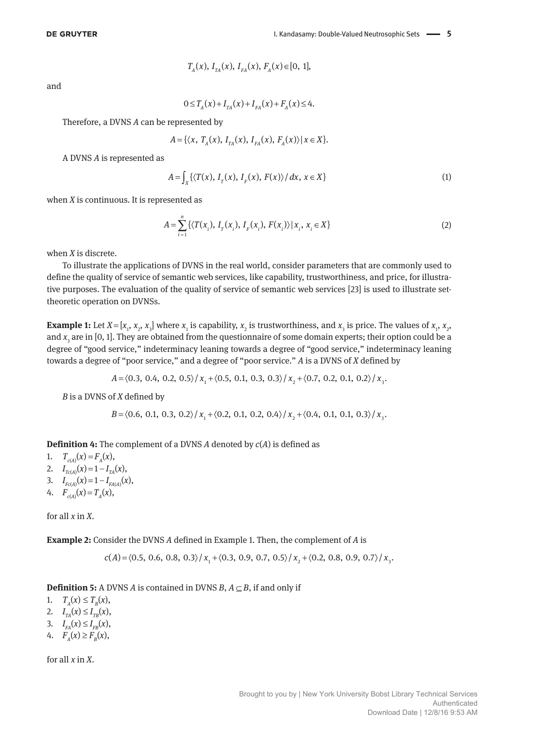$$
T_A(x), I_{TA}(x), I_{FA}(x), F_A(x) \in [0, 1],
$$

and

$$
0 \le T_A(x) + I_{TA}(x) + I_{FA}(x) + F_A(x) \le 4.
$$

Therefore, a DVNS *A* can be represented by

$$
A = \{ \langle x, T_A(x), I_{TA}(x), I_{FA}(x), F_A(x) \rangle | x \in X \}.
$$

A DVNS *A* is represented as

$$
A = \int_{X} \left\{ \langle T(x), I_{r}(x), I_{r}(x), F(x) \rangle / dx, x \in X \right\}
$$
 (1)

when *X* is continuous. It is represented as

$$
A = \sum_{i=1}^{n} \{ \langle T(x_i), I_T(x_i), I_F(x_i), F(x_i) \rangle | x_i, x_i \in X \}
$$
 (2)

when *X* is discrete.

To illustrate the applications of DVNS in the real world, consider parameters that are commonly used to define the quality of service of semantic web services, like capability, trustworthiness, and price, for illustrative purposes. The evaluation of the quality of service of semantic web services [23] is used to illustrate settheoretic operation on DVNSs.

**Example 1:** Let  $X = [x_1, x_2, x_3]$  where  $x_1$  is capability,  $x_2$  is trustworthiness, and  $x_3$  is price. The values of  $x_1, x_2, x_3$ and *x*<sub>3</sub> are in [0, 1]. They are obtained from the questionnaire of some domain experts; their option could be a degree of "good service," indeterminacy leaning towards a degree of "good service," indeterminacy leaning towards a degree of "poor service," and a degree of "poor service." *A* is a DVNS of *X* defined by

$$
A = \langle 0.3, 0.4, 0.2, 0.5 \rangle / x_1 + \langle 0.5, 0.1, 0.3, 0.3 \rangle / x_2 + \langle 0.7, 0.2, 0.1, 0.2 \rangle / x_3
$$

*B* is a DVNS of *X* defined by

$$
B = \langle 0.6, 0.1, 0.3, 0.2 \rangle / x_1 + \langle 0.2, 0.1, 0.2, 0.4 \rangle / x_2 + \langle 0.4, 0.1, 0.1, 0.3 \rangle / x_3.
$$

**Definition 4:** The complement of a DVNS *A* denoted by *c*(*A*) is defined as

1.  $T_{c(A)}(x) = F_A(x)$ ,

- 2.  $I_{Tc(A)}(x) = 1 I_{TA}(x),$
- 3.  $I_{Fc(A)}(x) = 1 I_{FA(A)}(x)$ ,
- 4.  $F_{c(A)}(x) = T_A(x)$ ,

for all *x* in *X*.

**Example 2:** Consider the DVNS *A* defined in Example 1. Then, the complement of *A* is

$$
c(A) = \langle 0.5, 0.6, 0.8, 0.3 \rangle / x_1 + \langle 0.3, 0.9, 0.7, 0.5 \rangle / x_2 + \langle 0.2, 0.8, 0.9, 0.7 \rangle / x_3.
$$

**Definition 5:** A DVNS *A* is contained in DVNS *B*,  $A \subseteq B$ , if and only if

1.  $T_{A}(x) \leq T_{B}(x),$ 2.  $I_{TA}(x) \leq I_{TB}(x)$ ,

- 3.  $I_{FA}(x) \leq I_{FB}(x)$ ,
- 4.  $F_{A}(x) \geq F_{B}(x),$

for all *x* in *X*.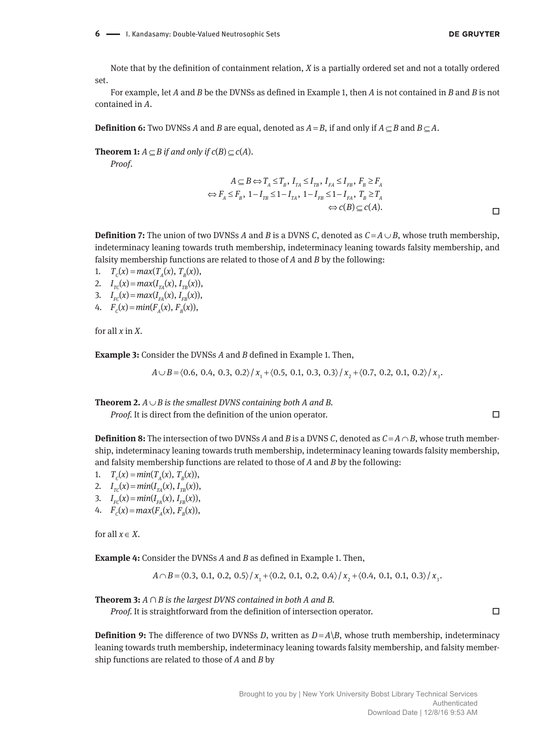Note that by the definition of containment relation, *X* is a partially ordered set and not a totally ordered set.

For example, let *A* and *B* be the DVNSs as defined in Example 1, then *A* is not contained in *B* and *B* is not contained in *A*.

**Definition 6:** Two DVNSs *A* and *B* are equal, denoted as  $A = B$ , if and only if  $A \subseteq B$  and  $B \subseteq A$ .

**Theorem 1:**  $A \subset B$  if and only if  $c(B) \subset c(A)$ .

*Proof*.

$$
A \subseteq B \Leftrightarrow T_A \le T_B, I_{TA} \le I_{TB}, I_{FA} \le I_{FB}, F_B \ge F_A
$$
  

$$
\Leftrightarrow F_A \le F_B, 1 - I_{TB} \le 1 - I_{TA}, 1 - I_{FB} \le 1 - I_{FA}, T_B \ge T_A
$$
  

$$
\Leftrightarrow c(B) \subseteq c(A).
$$

**Definition 7:** The union of two DVNSs *A* and *B* is a DVNS *C*, denoted as  $C = A \cup B$ , whose truth membership, indeterminacy leaning towards truth membership, indeterminacy leaning towards falsity membership, and falsity membership functions are related to those of *A* and *B* by the following:

1.  $T_c(x) = max(T_a(x), T_a(x)),$ 

- 2.  $I_{TC}(x) = max(I_{TA}(x), I_{TB}(x)),$
- 3.  $I_{FC}(x) = max(I_{FA}(x), I_{FB}(x)),$
- 4.  $F_c(x) = min(F_a(x), F_a(x))$ ,

for all *x* in *X*.

**Example 3:** Consider the DVNSs *A* and *B* defined in Example 1. Then,

 $A \cup B = \langle 0.6, 0.4, 0.3, 0.2 \rangle / x_1 + \langle 0.5, 0.1, 0.3, 0.3 \rangle / x_2 + \langle 0.7, 0.2, 0.1, 0.2 \rangle / x_3.$ 

**Theorem 2.**  $A \cup B$  is the smallest DVNS containing both A and B.

*Proof.* It is direct from the definition of the union operator. □

**Definition 8:** The intersection of two DVNSs *A* and *B* is a DVNS *C*, denoted as  $C = A \cap B$ , whose truth membership, indeterminacy leaning towards truth membership, indeterminacy leaning towards falsity membership,

and falsity membership functions are related to those of *A* and *B* by the following: 1.  $T_c(x) = min(T_a(x), T_a(x)),$ 

2.  $I_{TC}(x) = min(I_{TA}(x), I_{TB}(x)),$ 

- 3.  $I_{FC}(x) = min(I_{FA}(x), I_{FB}(x)),$
- 4.  $F_c(x) = max(F_a(x), F_b(x)),$

for all  $x \in X$ .

**Example 4:** Consider the DVNSs *A* and *B* as defined in Example 1. Then,

$$
A \cap B = \langle 0.3, 0.1, 0.2, 0.5 \rangle / x_1 + \langle 0.2, 0.1, 0.2, 0.4 \rangle / x_2 + \langle 0.4, 0.1, 0.1, 0.3 \rangle / x_3.
$$

**Theorem 3:** *A* ∩ *B is the largest DVNS contained in both A and B.*

*Proof.* It is straightforward from the definition of intersection operator. □

**Definition 9:** The difference of two DVNSs *D*, written as  $D = A \setminus B$ , whose truth membership, indeterminacy leaning towards truth membership, indeterminacy leaning towards falsity membership, and falsity membership functions are related to those of *A* and *B* by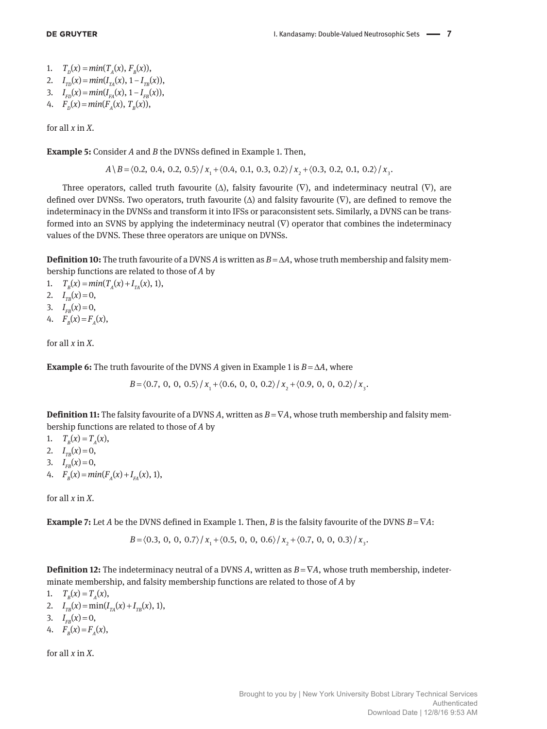1.  $T_p(x) = min(T_a(x), F_p(x)),$ 

2. 
$$
I_{TD}(x) = min(I_{TA}(x), 1 - I_{TB}(x)),
$$

3. 
$$
I_{FD}(x) = min(I_{FA}(x), 1 - I_{FB}(x)),
$$

4. 
$$
F_p(x) = min(F_A(x), T_B(x)),
$$

for all *x* in *X*.

**Example 5:** Consider *A* and *B* the DVNSs defined in Example 1. Then,

 $A \ B = \langle 0.2, 0.4, 0.2, 0.5 \rangle / x_1 + \langle 0.4, 0.1, 0.3, 0.2 \rangle / x_2 + \langle 0.3, 0.2, 0.1, 0.2 \rangle / x_1.$ 

Three operators, called truth favourite  $(\Delta)$ , falsity favourite  $(\nabla)$ , and indeterminacy neutral  $(\nabla)$ , are defined over DVNSs. Two operators, truth favourite  $(\Delta)$  and falsity favourite  $(\nabla)$ , are defined to remove the indeterminacy in the DVNSs and transform it into IFSs or paraconsistent sets. Similarly, a DVNS can be transformed into an SVNS by applying the indeterminacy neutral  $(\nabla)$  operator that combines the indeterminacy values of the DVNS. These three operators are unique on DVNSs.

**Definition 10:** The truth favourite of a DVNS *A* is written as *B* = Δ*A*, whose truth membership and falsity membership functions are related to those of *A* by

1.  $T_B(x) = min(T_A(x) + I_{TA}(x), 1),$ 

2.  $I_{TB}(x) = 0$ ,

- 3.  $I_{FB}(x) = 0$ ,
- 4.  $F_p(x) = F_p(x)$ ,

for all *x* in *X*.

**Example 6:** The truth favourite of the DVNS *A* given in Example 1 is  $B = \Delta A$ , where

 $B = \langle 0.7, 0, 0, 0.5 \rangle / x_1 + \langle 0.6, 0, 0, 0.2 \rangle / x_2 + \langle 0.9, 0, 0, 0.2 \rangle / x_3$ .

**Definition 11:** The falsity favourite of a DVNS *A*, written as  $B = \nabla A$ , whose truth membership and falsity membership functions are related to those of *A* by

1.  $T_p(x) = T_a(x)$ ,

- 2.  $I_{TB}(x) = 0$ ,
- 3.  $I_{FB}(x) = 0$ ,
- 4.  $F_B(x) = min(F_A(x) + I_{FA}(x), 1),$

for all *x* in *X*.

**Example 7:** Let *A* be the DVNS defined in Example 1. Then, *B* is the falsity favourite of the DVNS  $B = \nabla A$ :

 $B = \langle 0.3, 0, 0, 0.7 \rangle / x + \langle 0.5, 0, 0, 0.6 \rangle / x + \langle 0.7, 0, 0, 0.3 \rangle / x$ 

**Definition 12:** The indeterminacy neutral of a DVNS *A*, written as *B* = ∇*A*, whose truth membership, indeterminate membership, and falsity membership functions are related to those of *A* by

- 1.  $T_B(x) = T_A(x)$ ,
- 2.  $I_{TB}(x) = \min(I_{TA}(x) + I_{TB}(x), 1),$
- 3.  $I_{FB}(x) = 0$ ,
- 4.  $F_p(x) = F_p(x)$ ,

for all *x* in *X*.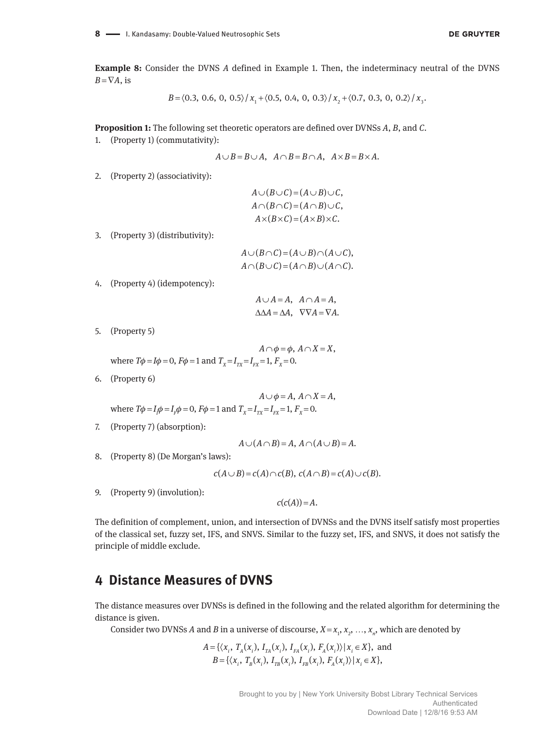**Example 8:** Consider the DVNS *A* defined in Example 1. Then, the indeterminacy neutral of the DVNS  $B = \nabla A$ , is

$$
B = \langle 0.3, 0.6, 0, 0.5 \rangle / x_1 + \langle 0.5, 0.4, 0, 0.3 \rangle / x_2 + \langle 0.7, 0.3, 0, 0.2 \rangle / x_3.
$$

**Proposition 1:** The following set theoretic operators are defined over DVNSs *A*, *B*, and *C*.

1. (Property 1) (commutativity):

$$
A \cup B = B \cup A, \quad A \cap B = B \cap A, \quad A \times B = B \times A.
$$

2. (Property 2) (associativity):

$$
A \cup (B \cup C) = (A \cup B) \cup C,
$$
  
\n
$$
A \cap (B \cap C) = (A \cap B) \cup C,
$$
  
\n
$$
A \times (B \times C) = (A \times B) \times C.
$$

3. (Property 3) (distributivity):

$$
A \cup (B \cap C) = (A \cup B) \cap (A \cup C),
$$
  

$$
A \cap (B \cup C) = (A \cap B) \cup (A \cap C).
$$

4. (Property 4) (idempotency):

 $A \cup A = A$ ,  $A \cap A = A$ ,  $\triangle \triangle A = \triangle A$ ,  $\nabla \nabla A = \nabla A$ .

5. (Property 5)

$$
A \cap \phi = \phi, A \cap X = X,
$$
  
where  $T\phi = I\phi = 0$ ,  $F\phi = 1$  and  $T_x = I_{rx} = I_{rx} = 1$ ,  $F_x = 0$ .

6. (Property 6)

$$
A \cup \phi = A, A \cap X = A,
$$
  
where  $T\phi = I_1\phi = I_1\phi = 0$ ,  $F\phi = 1$  and  $T_x = I_{rx} = I_{rx} = 1$ ,  $F_x = 0$ .

7. (Property 7) (absorption):

$$
A \cup (A \cap B) = A, A \cap (A \cup B) = A.
$$

8. (Property 8) (De Morgan's laws):

$$
c(A \cup B) = c(A) \cap c(B), \ c(A \cap B) = c(A) \cup c(B).
$$

9. (Property 9) (involution):

 $c(c(A)) = A$ .

The definition of complement, union, and intersection of DVNSs and the DVNS itself satisfy most properties of the classical set, fuzzy set, IFS, and SNVS. Similar to the fuzzy set, IFS, and SNVS, it does not satisfy the principle of middle exclude.

## **4 Distance Measures of DVNS**

The distance measures over DVNSs is defined in the following and the related algorithm for determining the distance is given.

Consider two DVNSs *A* and *B* in a universe of discourse,  $X = x_1, x_2, ..., x_n$ , which are denoted by

$$
A = \{ \langle x_i, T_A(x_i), I_{TA}(x_i), I_{FA}(x_i), F_A(x_i) \rangle | x_i \in X \}, \text{ and}
$$
  

$$
B = \{ \langle x_i, T_B(x_i), I_{TB}(x_i), I_{FB}(x_i), F_A(x_i) \rangle | x_i \in X \},
$$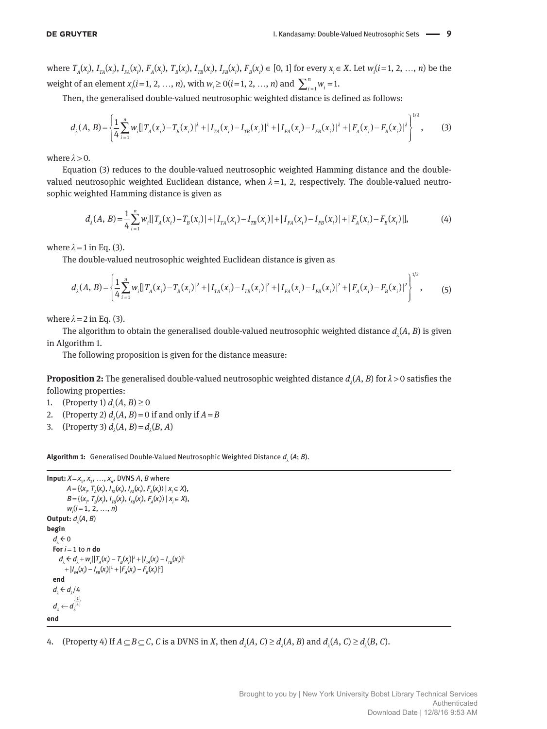where  $T_A(x_i)$ ,  $I_{TA}(x_i)$ ,  $I_{FA}(x_i)$ ,  $F_A(x_i)$ ,  $T_B(x_i)$ ,  $I_{TB}(x_i)$ ,  $I_{FB}(x_i)$ ,  $F_B(x_i) \in [0, 1]$  for every  $x_i \in X$ . Let  $w_i(i=1, 2, ..., n)$  be the weight of an element  $x_i$  ( $i = 1, 2, ..., n$ ), with  $w_i \ge 0$  ( $i = 1, 2, ..., n$ ) and  $\sum_{i=1}^{n} w_i = 1$ .

Then, the generalised double-valued neutrosophic weighted distance is defined as follows:

$$
d_{\lambda}(A, B) = \left\{ \frac{1}{4} \sum_{i=1}^{n} w_{i} \left[ |T_{A}(x_{i}) - T_{B}(x_{i})|^{2} + |I_{TA}(x_{i}) - I_{TB}(x_{i})|^{2} + |I_{FA}(x_{i}) - I_{FB}(x_{i})|^{2} + |F_{A}(x_{i}) - F_{B}(x_{i})|^{2} \right]^{1/2},
$$
(3)

where  $\lambda > 0$ .

Equation (3) reduces to the double-valued neutrosophic weighted Hamming distance and the doublevalued neutrosophic weighted Euclidean distance, when  $\lambda = 1$ , 2, respectively. The double-valued neutrosophic weighted Hamming distance is given as

$$
d_{\lambda}(A, B) = \frac{1}{4} \sum_{i=1}^{n} w_{i} [ |T_{A}(x_{i}) - T_{B}(x_{i})| + |I_{TA}(x_{i}) - I_{TB}(x_{i})| + |I_{FA}(x_{i}) - I_{FB}(x_{i})| + |F_{A}(x_{i}) - F_{B}(x_{i})|],
$$
(4)

where  $\lambda = 1$  in Eq. (3).

The double-valued neutrosophic weighted Euclidean distance is given as

$$
d_{\lambda}(A, B) = \left\{ \frac{1}{4} \sum_{i=1}^{n} w_{i} [|T_{A}(x_{i}) - T_{B}(x_{i})|^{2} + |I_{TA}(x_{i}) - I_{TB}(x_{i})|^{2} + |I_{FA}(x_{i}) - I_{FB}(x_{i})|^{2} + |F_{A}(x_{i}) - F_{B}(x_{i})|^{2} \right\}^{1/2},
$$
\n(5)

where  $\lambda = 2$  in Eq. (3).

The algorithm to obtain the generalised double-valued neutrosophic weighted distance  $d_{_{\lambda}}\!(A,B)$  is given in Algorithm 1.

The following proposition is given for the distance measure:

**Proposition 2:** The generalised double-valued neutrosophic weighted distance  $d_{\lambda}(A, B)$  for  $\lambda > 0$  satisfies the following properties:

- 1. (Property 1)  $d_{\lambda}(A, B) \ge 0$
- 2. (Property 2)  $d_{\lambda}(A, B) = 0$  if and only if  $A = B$
- 3. (Property 3)  $d_{\lambda}(A, B) = d_{\lambda}(B, A)$

**Algorithm 1:** Generalised Double-Valued Neutrosophic Weighted Distance  $d_{_{\lambda}}($ A; *B*).

```
Input: X = x_1, x_2, ..., x_n, DVNS A, B where
               A = \{ (x_i, T_A(x_i), I_{TA}(x_i), I_{FA}(x_i), F_A(x_i) \mid x_i \in X \},\B = {\langle X_i, T_B(X_i), I_{TB}(X_i), I_{FB}(X_i), F_A(X_i) \rangle | X_i \in X },
               wi
(i = 1, 2, …, n)
Output: d_{\lambda}(A, B)begin
     d_{\lambda} \leftarrow 0
   For i = 1 to n do
d_{\lambda} \leftarrow d_{\lambda} + w_{i} [|T_{A}(x_{i}) - T_{B}(x_{i})|^{\lambda} + |I_{TA}(x_{i}) - I_{TB}(x_{i})|^{\lambda}]+ |I_{FA}(x_i) - I_{FB}(x_i)|^{\lambda} + |F_A(x_i) - F_B(x_i)|^{\lambda}end
     d_{\lambda} \leftarrow d_{\lambda}/4a_{\lambda} \leftarrow d_{\lambda}^{\mathfrak{U}\lambda}d_1 \leftarrow d_1^{\left|\frac{1}{\lambda}\right|}end
```
4. (Property 4) If  $A \subseteq B \subseteq C$ , *C* is a DVNS in *X*, then  $d_{\lambda}(A, C) \geq d_{\lambda}(A, B)$  and  $d_{\lambda}(A, C) \geq d_{\lambda}(B, C)$ .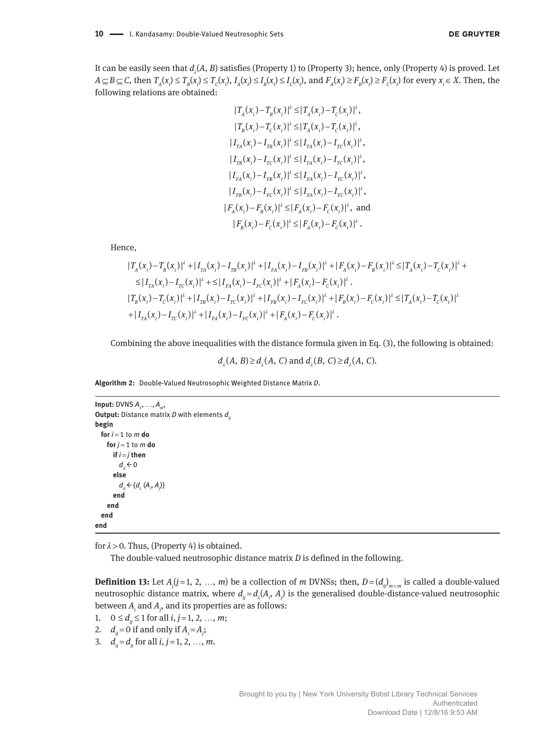**DE GRUYTER** 

It can be easily seen that  $d_{\scriptscriptstyle \lambda} (A,B)$  satisfies (Property 1) to (Property 3); hence, only (Property 4) is proved. Let  $A \subseteq B \subseteq C$ , then  $T_A(x_i) \le T_B(x_i) \le T_C(x_i)$ ,  $I_A(x_i) \le I_B(x_i) \le I_C(x_i)$ , and  $F_A(x_i) \ge F_B(x_i) \ge F_C(x_i)$  for every  $x_i \in X$ . Then, the following relations are obtained:

$$
|T_A(x_i) - T_B(x_i)|^{\lambda} \le |T_A(x_i) - T_C(x_i)|^{\lambda},
$$
  
\n
$$
|T_B(x_i) - T_C(x_i)|^{\lambda} \le |T_A(x_i) - T_C(x_i)|^{\lambda},
$$
  
\n
$$
|I_{TA}(x_i) - I_{TB}(x_i)|^{\lambda} \le |I_{TA}(x_i) - I_{TC}(x_i)|^{\lambda},
$$
  
\n
$$
|I_{TB}(x_i) - I_{TC}(x_i)|^{\lambda} \le |I_{TA}(x_i) - I_{TC}(x_i)|^{\lambda},
$$
  
\n
$$
|I_{FA}(x_i) - I_{FB}(x_i)|^{\lambda} \le |I_{FA}(x_i) - I_{FC}(x_i)|^{\lambda},
$$
  
\n
$$
|I_{FB}(x_i) - I_{FC}(x_i)|^{\lambda} \le |I_{FA}(x_i) - I_{FC}(x_i)|^{\lambda},
$$
  
\n
$$
|F_B(x_i) - F_B(x_i)|^{\lambda} \le |F_A(x_i) - F_C(x_i)|^{\lambda},
$$
and  
\n
$$
|F_B(x_i) - F_C(x_i)|^{\lambda} \le |F_A(x_i) - F_C(x_i)|^{\lambda}.
$$

Hence,

$$
|T_A(x_i) - T_B(x_i)|^{\lambda} + |I_{TA}(x_i) - I_{TB}(x_i)|^{\lambda} + |I_{FA}(x_i) - I_{FB}(x_i)|^{\lambda} + |F_A(x_i) - F_B(x_i)|^{\lambda} \le |T_A(x_i) - T_C(x_i)|^{\lambda} +
$$
  
\n
$$
\le |I_{TA}(x_i) - I_{TC}(x_i)|^{\lambda} + \le |I_{FA}(x_i) - I_{FC}(x_i)|^{\lambda} + |F_A(x_i) - F_C(x_i)|^{\lambda}.
$$
  
\n
$$
|T_B(x_i) - T_C(x_i)|^{\lambda} + |I_{TB}(x_i) - I_{TC}(x_i)|^{\lambda} + |I_{FB}(x_i) - I_{FC}(x_i)|^{\lambda} + |F_B(x_i) - F_C(x_i)|^{\lambda} \le |T_A(x_i) - T_C(x_i)|^{\lambda} + |I_{TA}(x_i) - I_{TC}(x_i)|^{\lambda} + |I_{TA}(x_i) - I_{TC}(x_i)|^{\lambda} + |I_{TA}(x_i) - F_C(x_i)|^{\lambda}.
$$

Combining the above inequalities with the distance formula given in Eq. (3), the following is obtained:

 $d_1(A, B) \geq d_1(A, C)$  and  $d_1(B, C) \geq d_1(A, C)$ .

**Algorithm 2:** Double-Valued Neutrosophic Weighted Distance Matrix *D*.

```
Input: DVNS A_1, ..., A_m,
Output: Distance matrix D with elements d_ibegin
  for i = 1 to m do
    for j = 1 to m do
       if i = j then
         d_n \leftarrow 0   else
d_{ij} \leftarrow \{ d_{\lambda} (A_i, A_j) \}   end
       end
  end
end
```
for  $\lambda > 0$ . Thus, (Property 4) is obtained.

The double-valued neutrosophic distance matrix *D* is defined in the following.

**Definition 13:** Let  $A_j$ ( $j$ =1, 2, ..., *m*) be a collection of *m* DVNSs; then,  $D = (d_{ij})_{m \times m}$  is called a double-valued neutrosophic distance matrix, where  $d_{ij} = d_{\lambda}(A_i, A_j)$  is the generalised double-distance-valued neutrosophic between  $A_i$  and  $A_j$ , and its properties are as follows:

```
1. 0 \le d_{ii} \le 1 for all i, j = 1, 2, …, m;
```
- 2.  $d_{ij} = 0$  if and only if  $A_i = A_j$ ;
- 3.  $d_{ii} = d_{ii}$  for all *i*, *j* = 1, 2, …, *m*.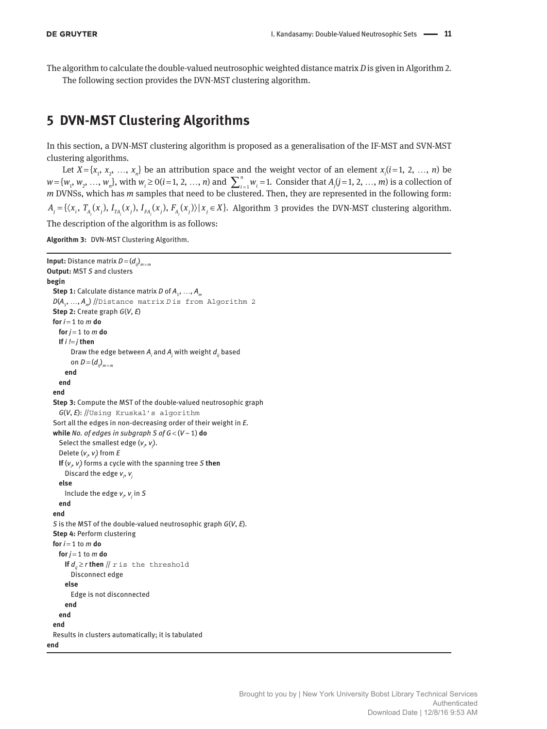The algorithm to calculate the double-valued neutrosophic weighted distance matrix *D* is given in Algorithm 2. The following section provides the DVN-MST clustering algorithm.

# **5 DVN-MST Clustering Algorithms**

In this section, a DVN-MST clustering algorithm is proposed as a generalisation of the IF-MST and SVN-MST clustering algorithms.

Let  $X = \{x_1, x_2, ..., x_n\}$  be an attribution space and the weight vector of an element  $x_i$  ( $i = 1, 2, ..., n$ ) be  $w = \{w_1, w_2, ..., w_n\}$ , with  $w_i \ge 0$  (*i* = 1, 2, ..., *n*) and  $\sum_{i=1}^{n} w_i = 1$ . Consider that  $A_j$  (*j* = 1, 2, ..., *m*) is a collection of *m* DVNSs, which has *m* samples that need to be clustered. Then, they are represented in the following form:  $A_i = \{ \langle x_i, T_A(x_i), I_{TA}(x_i), I_{FA}(x_i), F_A(x_i) \rangle | x_i \in X \}.$  Algorithm 3 provides the DVN-MST clustering algorithm. The description of the algorithm is as follows:

**Algorithm 3:** DVN-MST Clustering Algorithm.

```
Input: Distance matrix D = (dij)
m × m
Output: MST S and clusters
begin
 Step 1: Calculate distance matrix D of A<sub>1</sub>, ..., A<sub>m</sub>
 D(A<sub>1</sub>, ..., A<sub>n</sub>) //Distance matrix D is from Algorithm 2
 Step 2: Create graph G(V, E)
 for i = 1 to m do
   for j = 1 to m do
     If i != j then
Draw the edge between \boldsymbol{A}_i and \boldsymbol{A}_j with weight \boldsymbol{d}_{ij} based
on D = (d_{ij})_{m \times m}   end
      end
  end
  Step 3: Compute the MST of the double-valued neutrosophic graph
      G(V, E): //Using Kruskal's algorithm
   Sort all the edges in non-decreasing order of their weight in E.
  while No. of edges in subgraph S of G < (V − 1) do
Select the smallest edge (v_{i},v_{j}).
  Delete (vi
, vj
) from E
If (v_j, v_j) forms a cycle with the spanning tree S then
   Discard the edge vi
, vj
      else
Include the edge v_{i}, v_{j} in S  end
  end
  S is the MST of the double-valued neutrosophic graph G(V, E).
  Step 4: Perform clustering
  for i = 1 to m do
   for j = 1 to m do
     If d_n \ge r then \# r is the threshold
            Disconnect edge
         else
            Edge is not disconnected
         end
      end
 end
   Results in clusters automatically; it is tabulated
end
```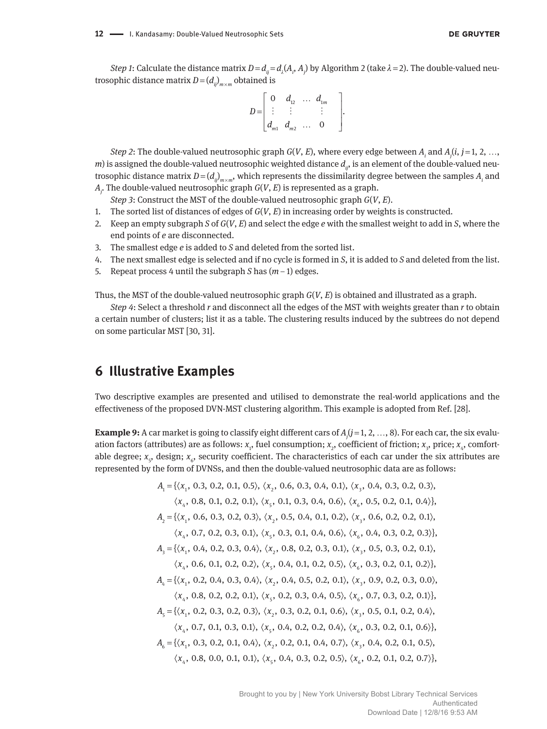*Step 1*: Calculate the distance matrix  $D = d_{ij} = d_{\lambda}(A_i, A_j)$  by Algorithm 2 (take  $\lambda$  = 2). The double-valued neutrosophic distance matrix  $D = (d_{ij})_{m \times m}$  obtained is

$$
D = \begin{bmatrix} 0 & d_{12} & \dots & d_{1m} \\ \vdots & \vdots & & \vdots \\ d_{m1} & d_{m2} & \dots & 0 \end{bmatrix}.
$$

*Step 2*: The double-valued neutrosophic graph *G*(*V*, *E*), where every edge between *Ai* and *Aj* (*i*, *j* = 1, 2, …, *m*) is assigned the double-valued neutrosophic weighted distance  $d_{ij}$ , is an element of the double-valued neutrosophic distance matrix  $D$  = ( $d_{ij}$ )<sub> $m \times m$ </sub>, which represents the dissimilarity degree between the samples  $A_i$  and *Aj* . The double-valued neutrosophic graph *G*(*V*, *E*) is represented as a graph.

*Step 3*: Construct the MST of the double-valued neutrosophic graph *G*(*V*, *E*).

- 1. The sorted list of distances of edges of *G*(*V*, *E*) in increasing order by weights is constructed.
- 2. Keep an empty subgraph *S* of *G*(*V*, *E*) and select the edge *e* with the smallest weight to add in *S*, where the end points of *e* are disconnected.
- 3. The smallest edge *e* is added to *S* and deleted from the sorted list.
- 4. The next smallest edge is selected and if no cycle is formed in *S*, it is added to *S* and deleted from the list.
- 5. Repeat process 4 until the subgraph *S* has (*m* − 1) edges.

Thus, the MST of the double-valued neutrosophic graph *G*(*V*, *E*) is obtained and illustrated as a graph.

*Step 4*: Select a threshold *r* and disconnect all the edges of the MST with weights greater than *r* to obtain a certain number of clusters; list it as a table. The clustering results induced by the subtrees do not depend on some particular MST [30, 31].

## **6 Illustrative Examples**

Two descriptive examples are presented and utilised to demonstrate the real-world applications and the effectiveness of the proposed DVN-MST clustering algorithm. This example is adopted from Ref. [28].

**Example 9:** A car market is going to classify eight different cars of  $A_j$ ( $j$  = 1, 2, …, 8). For each car, the six evaluation factors (attributes) are as follows: *x*<sub>1</sub>, fuel consumption; *x<sub>2</sub>,* coefficient of friction; *x<sub>3</sub>, price; x<sub>4</sub>, comfort*able degree; *x<sub>5</sub>,* design; *x<sub>6</sub>,* security coefficient. The characteristics of each car under the six attributes are represented by the form of DVNSs, and then the double-valued neutrosophic data are as follows:

$$
A_1 = \{ \langle x_1, 0.3, 0.2, 0.1, 0.5 \rangle, \langle x_2, 0.6, 0.3, 0.4, 0.1 \rangle, \langle x_3, 0.4, 0.3, 0.2, 0.3 \rangle, \n\langle x_4, 0.8, 0.1, 0.2, 0.1 \rangle, \langle x_5, 0.1, 0.3, 0.4, 0.6 \rangle, \langle x_6, 0.5, 0.2, 0.1, 0.4 \rangle \}, \nA_2 = \{ \langle x_1, 0.6, 0.3, 0.2, 0.3 \rangle, \langle x_2, 0.5, 0.4, 0.1, 0.2 \rangle, \langle x_3, 0.6, 0.2, 0.2, 0.1 \rangle, \n\langle x_4, 0.7, 0.2, 0.3, 0.1 \rangle, \langle x_5, 0.3, 0.1, 0.4, 0.6 \rangle, \langle x_6, 0.4, 0.3, 0.2, 0.3 \rangle \}, \nA_3 = \{ \langle x_1, 0.4, 0.2, 0.3, 0.4 \rangle, \langle x_2, 0.8, 0.2, 0.3, 0.1 \rangle, \langle x_3, 0.5, 0.3, 0.2, 0.1 \rangle, \n\langle x_4, 0.6, 0.1, 0.2, 0.2 \rangle, \langle x_5, 0.4, 0.1, 0.2, 0.5 \rangle, \langle x_6, 0.3, 0.2, 0.1, 0.2 \rangle \}, \nA_4 = \{ \langle x_1, 0.2, 0.4, 0.3, 0.4 \rangle, \langle x_2, 0.4, 0.5, 0.2, 0.1 \rangle, \langle x_3, 0.9, 0.2, 0.3, 0.0 \rangle, \n\langle x_4, 0.8, 0.2, 0.2, 0.1 \rangle, \langle x_5, 0.2, 0.3, 0.4, 0.5 \rangle, \langle x_6, 0.7, 0.3, 0.2, 0.1 \rangle \}, \nA_5 = \{ \langle x_1, 0.2, 0.3, 0.2,
$$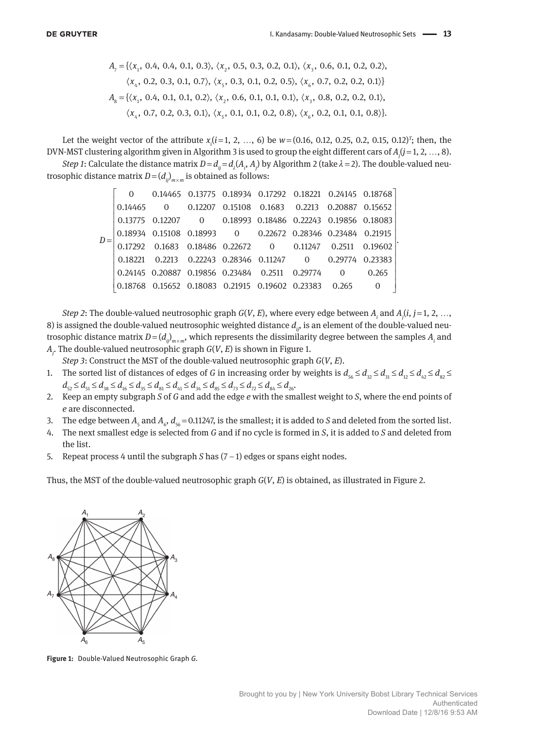$$
A_{7} = \{ \langle x_{1}, 0.4, 0.4, 0.1, 0.3 \rangle, \langle x_{2}, 0.5, 0.3, 0.2, 0.1 \rangle, \langle x_{3}, 0.6, 0.1, 0.2, 0.2 \rangle, \langle x_{4}, 0.2, 0.3, 0.1, 0.7 \rangle, \langle x_{5}, 0.3, 0.1, 0.2, 0.5 \rangle, \langle x_{6}, 0.7, 0.2, 0.2, 0.1 \rangle \}
$$
\n $A_{8} = \{ \langle x_{1}, 0.4, 0.1, 0.1, 0.2 \rangle, \langle x_{2}, 0.6, 0.1, 0.1, 0.1 \rangle, \langle x_{3}, 0.8, 0.2, 0.2, 0.1 \rangle, \langle x_{4}, 0.7, 0.2, 0.3, 0.1 \rangle, \langle x_{5}, 0.1, 0.1, 0.2, 0.8 \rangle, \langle x_{6}, 0.2, 0.1, 0.1, 0.8 \rangle \}$ 

Let the weight vector of the attribute  $x_i$  ( $i$  = 1, 2, …, 6) be  $w$  = (0.16, 0.12, 0.25, 0.2, 0.15, 0.12)<sup>T</sup>; then, the DVN-MST clustering algorithm given in Algorithm 3 is used to group the eight different cars of *Aj* (*j* = 1, 2, …, 8).

*Step 1*: Calculate the distance matrix  $D$  =  $d_{ij}$  =  $d_{\lambda}(A_i, A_j)$  by Algorithm 2 (take  $\lambda$  = 2). The double-valued neutrosophic distance matrix  $D = (d_{ij})_{m \times m}$  is obtained as follows:

|  |  | 0 0.14465 0.13775 0.18934 0.17292 0.18221 0.24145 0.18768               |  |  |
|--|--|-------------------------------------------------------------------------|--|--|
|  |  | 0.14465 0 0.12207 0.15108 0.1683 0.2213 0.20887 0.15652                 |  |  |
|  |  | 0.13775 0.12207 0 0.18993 0.18486 0.22243 0.19856 0.18083               |  |  |
|  |  | 0.18934  0.15108  0.18993  0  0.22672  0.28346  0.23484  0.21915        |  |  |
|  |  | $0.17292$ $0.1683$ $0.18486$ $0.22672$ $0$ $0.11247$ $0.2511$ $0.19602$ |  |  |
|  |  | 0.18221 0.2213 0.22243 0.28346 0.11247 0 0.29774 0.23383                |  |  |
|  |  | 0.24145 0.20887 0.19856 0.23484 0.2511 0.29774 0 0.265                  |  |  |
|  |  | 0.18768  0.15652  0.18083  0.21915  0.19602  0.23383  0.265             |  |  |

*Step 2*: The double-valued neutrosophic graph *G*(*V*, *E*), where every edge between *Ai* and *Aj* (*i*, *j* = 1, 2, …, 8) is assigned the double-valued neutrosophic weighted distance  $d_{ij}$ , is an element of the double-valued neutrosophic distance matrix  $D = (d_{ij})_{m \times m}$ , which represents the dissimilarity degree between the samples  $A_i$  and *Aj* . The double-valued neutrosophic graph *G*(*V*, *E*) is shown in Figure 1.

*Step 3*: Construct the MST of the double-valued neutrosophic graph *G*(*V*, *E*).

- 1. The sorted list of distances of edges of *G* in increasing order by weights is  $d_{\varsigma_6} \leq d_{\varsigma_2} \leq d_{\varsigma_1} \leq d_{\varsigma_2} \leq d_{\varsigma_3} \leq d_{\varsigma_4} \leq d_{\varsigma_5} \leq d_{\varsigma_6} \leq d_{\varsigma_7} \leq d_{\varsigma_8} \leq d_{\varsigma_7} \leq d_{\varsigma_8} \leq d_{\varsigma_$  $d_{52} \leq d_{51} \leq d_{38} \leq d_{16} \leq d_{35} \leq d_{81} \leq d_{41} \leq d_{34} \leq d_{85} \leq d_{73} \leq d_{72} \leq d_{84} \leq d_{26}$
- 2. Keep an empty subgraph *S* of *G* and add the edge *e* with the smallest weight to *S*, where the end points of *e* are disconnected.
- 3. The edge between  $A_{\varsigma}$  and  $A_{\varsigma}$ ,  $d_{\varsigma 6}$  = 0.11247, is the smallest; it is added to *S* and deleted from the sorted list.
- 4. The next smallest edge is selected from *G* and if no cycle is formed in *S*, it is added to *S* and deleted from the list.
- 5. Repeat process 4 until the subgraph *S* has (7 − 1) edges or spans eight nodes.

Thus, the MST of the double-valued neutrosophic graph *G*(*V*, *E*) is obtained, as illustrated in Figure 2.



**Figure 1:** Double-Valued Neutrosophic Graph *G.*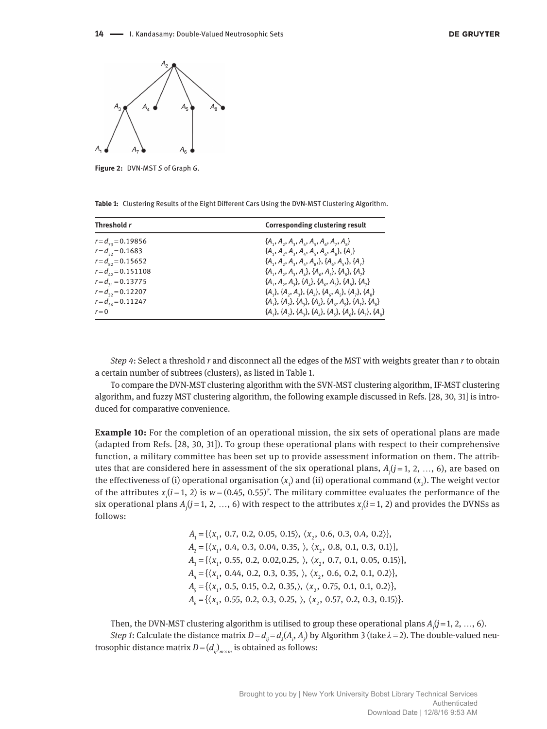

**Figure 2:** DVN-MST *S* of Graph *G.*

|  |  |  | Table 1: Clustering Results of the Eight Different Cars Using the DVN-MST Clustering Algorithm. |  |
|--|--|--|-------------------------------------------------------------------------------------------------|--|
|--|--|--|-------------------------------------------------------------------------------------------------|--|

| Threshold r                | Corresponding clustering result                                          |
|----------------------------|--------------------------------------------------------------------------|
| $r = d_{12} = 0.19856$     | ${A_1, A_2, A_3, A_4, A_5, A_6, A_7, A_8}$                               |
| $r = d_{\rm eq} = 0.1683$  | ${A_1, A_2, A_3, A_4, A_5, A_6, A_7}, {A_1}$                             |
| $r = d_{02} = 0.15652$     | ${A_1, A_2, A_3, A_4, A_5}, {A_2, A_5}, {A_1}, {A_2}$                    |
| $r = d_{12} = 0.151108$    | ${A_1, A_2, A_3, A_4}, {A_6, A_5}, {A_8}, {A_7}$                         |
| $r = d_{31} = 0.13775$     | ${A_1, A_2, A_3}, {A_4}, {A_6}, A_5}, {A_8}, {A_7}$                      |
| $r = d_{32} = 0.12207$     | ${A_1}, {A_2}, {A_3}, {A_4}, {A_6}, {A_5}, {A_7}, {A_8}$                 |
| $r = d_{\rm sc} = 0.11247$ | ${A_1}, {A_2}, {A_3}, {A_4}, {A_6}, {A_7}, {A_8}$                        |
| $r = 0$                    | $\{A_1\}, \{A_2\}, \{A_3\}, \{A_4\}, \{A_5\}, \{A_6\}, \{A_7\}, \{A_8\}$ |

*Step 4*: Select a threshold *r* and disconnect all the edges of the MST with weights greater than *r* to obtain a certain number of subtrees (clusters), as listed in Table 1.

To compare the DVN-MST clustering algorithm with the SVN-MST clustering algorithm, IF-MST clustering algorithm, and fuzzy MST clustering algorithm, the following example discussed in Refs. [28, 30, 31] is introduced for comparative convenience.

**Example 10:** For the completion of an operational mission, the six sets of operational plans are made (adapted from Refs. [28, 30, 31]). To group these operational plans with respect to their comprehensive function, a military committee has been set up to provide assessment information on them. The attributes that are considered here in assessment of the six operational plans, *Aj* (*j* = 1, 2, …, 6), are based on the effectiveness of (i) operational organisation ( $x_1$ ) and (ii) operational command ( $x_2$ ). The weight vector of the attributes  $x_i$  ( $i$  = 1, 2) is  $w$  = (0.45, 0.55)<sup> $r$ </sup>. The military committee evaluates the performance of the six operational plans  $A_j (j = 1, 2, ..., 6)$  with respect to the attributes  $x_i (i = 1, 2)$  and provides the DVNSs as follows:

> $A_1 = {\langle} x_1, 0.7, 0.2, 0.05, 0.15 \rangle, \langle x_2, 0.6, 0.3, 0.4, 0.2 \rangle$  $A_2 = {\langle} \langle x_1, 0.4, 0.3, 0.04, 0.35, \rangle, \langle x_2, 0.8, 0.1, 0.3, 0.1 \rangle$  $A_3 = {\langle} x_1, 0.55, 0.2, 0.02, 0.25, \rangle, \langle x_2, 0.7, 0.1, 0.05, 0.15 \rangle$  $A_4 = {\langle} x_1, 0.44, 0.2, 0.3, 0.35, \rangle, \langle x_2, 0.6, 0.2, 0.1, 0.2 \rangle$  $A_{\scriptscriptstyle{5}} = {\langle} \langle x_{\scriptscriptstyle{1}}$ , 0.5, 0.15, 0.2, 0.35, $\rangle$ ,  $\langle x_{\scriptscriptstyle{2}}$ , 0.75, 0.1, 0.1, 0.2 $\rangle$ },  $A_6 = {\langle}x_1, 0.55, 0.2, 0.3, 0.25, \rangle, \langle x_2, 0.57, 0.2, 0.3, 0.15 \rangle$

Then, the DVN-MST clustering algorithm is utilised to group these operational plans *Aj* (*j* = 1, 2, …, 6). *Step 1*: Calculate the distance matrix  $D = d_{ij} = d_{\lambda}(A_i, A_j)$  by Algorithm 3 (take  $\lambda = 2$ ). The double-valued neutrosophic distance matrix  $D = (d_{ij})_{m \times m}$  is obtained as follows: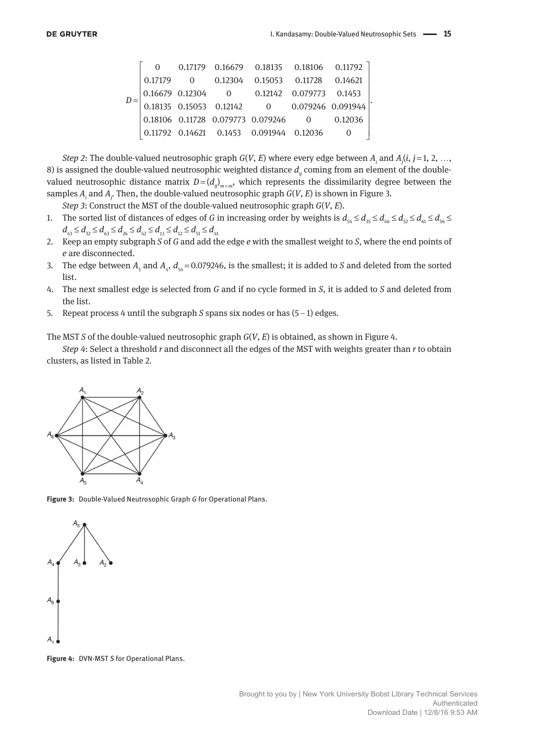|         |  | $0 \qquad 0.17179 \quad 0.16679 \qquad 0.18135 \qquad 0.18106 \qquad 0.11792$                                                                                                                                                  |  |  |
|---------|--|--------------------------------------------------------------------------------------------------------------------------------------------------------------------------------------------------------------------------------|--|--|
| 0.17179 |  | 0 0.12304 0.15053 0.11728 0.14621                                                                                                                                                                                              |  |  |
|         |  | $\begin{array}{ cccc cccc } \hline 0.16679 & 0.12304 & 0 & 0.12142 & 0.079773 & 0.1453 \\ 0.18135 & 0.15053 & 0.12142 & 0 & 0.079246 & 0.091944 \\ 0.18106 & 0.11728 & 0.079773 & 0.079246 & 0 & 0.12036 \\\hline \end{array}$ |  |  |
|         |  |                                                                                                                                                                                                                                |  |  |
|         |  |                                                                                                                                                                                                                                |  |  |
|         |  | $\begin{array}{ ccc} 0.11792 & 0.14621 & 0.1453 & 0.091944 & 0.12036 \end{array}$                                                                                                                                              |  |  |

*Step 2*: The double-valued neutrosophic graph *G*(*V*, *E*) where every edge between *Ai* and *Aj* (*i*, *j* = 1, 2, …, 8) is assigned the double-valued neutrosophic weighted distance  $d<sub>ii</sub>$  coming from an element of the doublevalued neutrosophic distance matrix  $D = (d_{ij})_{m \times m}$ , which represents the dissimilarity degree between the samples *Ai* and *Aj* . Then, the double-valued neutrosophic graph *G*(*V*, *E*) is shown in Figure 3.

*Step 3*: Construct the MST of the double-valued neutrosophic graph *G*(*V*, *E*).

- 1. The sorted list of distances of edges of *G* in increasing order by weights is  $d_{54} \leq d_{55} \leq d_{46} \leq d_{52} \leq d_{61} \leq d_{56} \leq d_{62}$  $d_{43} \leq d_{32} \leq d_{63} \leq d_{26} \leq d_{42} \leq d_{13} \leq d_{12} \leq d_{51} \leq d_{41}$
- 2. Keep an empty subgraph *S* of *G* and add the edge *e* with the smallest weight to *S*, where the end points of *e* are disconnected.
- 3. The edge between  $A_5$  and  $A_4$ ,  $d_{54} = 0.079246$ , is the smallest; it is added to *S* and deleted from the sorted list.
- 4. The next smallest edge is selected from *G* and if no cycle formed in *S*, it is added to *S* and deleted from the list.
- 5. Repeat process 4 until the subgraph *S* spans six nodes or has (5 − 1) edges.

The MST *S* of the double-valued neutrosophic graph *G*(*V*, *E*) is obtained, as shown in Figure 4.

*Step 4*: Select a threshold *r* and disconnect all the edges of the MST with weights greater than *r* to obtain clusters, as listed in Table 2.



**Figure 3:** Double-Valued Neutrosophic Graph *G* for Operational Plans.



**Figure 4:** DVN-MST *S* for Operational Plans.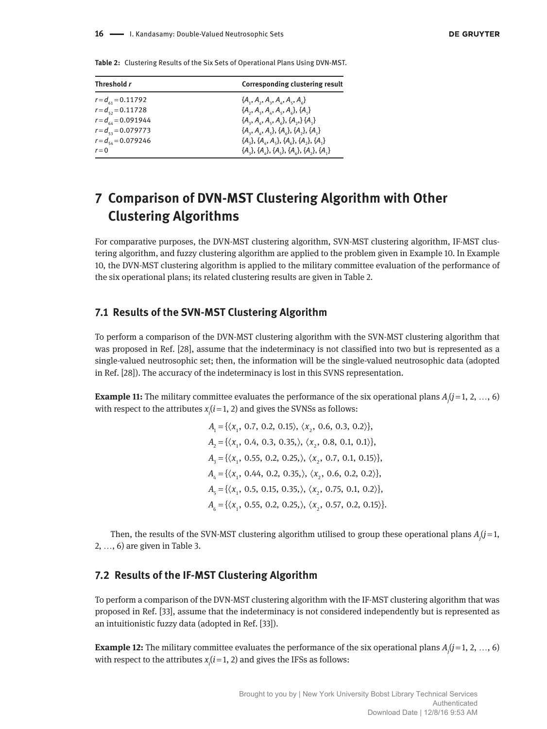| Threshold r             | <b>Corresponding clustering result</b>     |
|-------------------------|--------------------------------------------|
| $r = d_{61} = 0.11792$  | ${A_1, A_2, A_3, A_4, A_5, A_6}$           |
| $r = d_{52} = 0.11728$  | ${A_2, A_3, A_4, A_5, A_6}, {A_1}$         |
| $r = d_{64} = 0.091944$ | ${A_3, A_4, A_5, A_6}, {A_7, A_8}$         |
| $r = d_{53} = 0.079773$ | ${A_3, A_4, A_5}, {A_6}, {A_7}, {A_1}$     |
| $r = d_{54} = 0.079246$ | ${A_3}, {A_4}, {A_5}, {A_6}, {A_7}, {A_1}$ |
| $r = 0$                 | ${A_3}, {A_4}, {A_5}, {A_6}, {A_7}, {A_1}$ |

**Table 2:** Clustering Results of the Six Sets of Operational Plans Using DVN-MST.

# **7 Comparison of DVN-MST Clustering Algorithm with Other Clustering Algorithms**

For comparative purposes, the DVN-MST clustering algorithm, SVN-MST clustering algorithm, IF-MST clustering algorithm, and fuzzy clustering algorithm are applied to the problem given in Example 10. In Example 10, the DVN-MST clustering algorithm is applied to the military committee evaluation of the performance of the six operational plans; its related clustering results are given in Table 2.

## **7.1 Results of the SVN-MST Clustering Algorithm**

To perform a comparison of the DVN-MST clustering algorithm with the SVN-MST clustering algorithm that was proposed in Ref. [28], assume that the indeterminacy is not classified into two but is represented as a single-valued neutrosophic set; then, the information will be the single-valued neutrosophic data (adopted in Ref. [28]). The accuracy of the indeterminacy is lost in this SVNS representation.

**Example 11:** The military committee evaluates the performance of the six operational plans  $A_j$  ( $j$  = 1, 2, ..., 6) with respect to the attributes  $x_i$   $(i=1, 2)$  and gives the SVNSs as follows:

> $A_1 = \{ \langle x_1, 0.7, 0.2, 0.15 \rangle, \langle x_2, 0.6, 0.3, 0.2 \rangle \},\$  $A_2 = {\langle} \langle x_1, 0.4, 0.3, 0.35, \rangle, \langle x_2, 0.8, 0.1, 0.1 \rangle$  $A_3 = {\langle} \langle x_1, 0.55, 0.2, 0.25, \rangle, \langle x_2, 0.7, 0.1, 0.15 \rangle$  $A_4 = {\langle} \langle x_1, 0.44, 0.2, 0.35, \rangle, \langle x_2, 0.6, 0.2, 0.2 \rangle$  $A_{\scriptscriptstyle{5}} = {\{\langle x_{\scriptscriptstyle{1}}}, 0.5, 0.15, 0.35, \rangle, \langle x_{\scriptscriptstyle{2}}}, 0.75, 0.1, 0.2 \rangle\},$  $A_6 = {\langle} \langle x_1, 0.55, 0.2, 0.25, \rangle, \langle x_2, 0.57, 0.2, 0.15 \rangle$

Then, the results of the SVN-MST clustering algorithm utilised to group these operational plans *Aj* (*j* = 1, 2, …, 6) are given in Table 3.

## **7.2 Results of the IF-MST Clustering Algorithm**

To perform a comparison of the DVN-MST clustering algorithm with the IF-MST clustering algorithm that was proposed in Ref. [33], assume that the indeterminacy is not considered independently but is represented as an intuitionistic fuzzy data (adopted in Ref. [33]).

**Example 12:** The military committee evaluates the performance of the six operational plans  $A_j$  ( $j$  = 1, 2, ..., 6) with respect to the attributes  $x_i$   $(i=1, 2)$  and gives the IFSs as follows: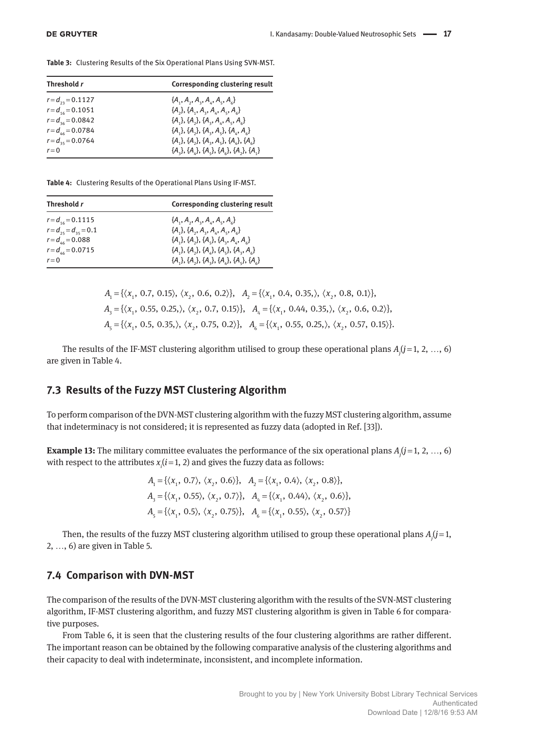**Table 3:** Clustering Results of the Six Operational Plans Using SVN-MST.

| Threshold r           | <b>Corresponding clustering result</b>     |
|-----------------------|--------------------------------------------|
| $r = d_{23} = 0.1127$ | ${A_1, A_2, A_3, A_4, A_5, A_6}$           |
| $r = d_{16} = 0.1051$ | ${A_2}, {A_1}, {A_2}, {A_4}, {A_5}, {A_6}$ |
| $r = d_{36} = 0.0842$ | ${A_1}, {A_2}, {A_3}, {A_4}, {A_5}, {A_6}$ |
| $r = d_{46} = 0.0784$ | ${A_1}, {A_2}, {A_3}, {A_4}, {A_4}, {A_6}$ |
| $r = d_{35} = 0.0764$ | ${A_1}, {A_2}, {A_3}, {A_4}, {A_5}, {A_6}$ |
| $r=0$                 | ${A_1}, {A_2}, {A_3}, {A_4}, {A_5}, {A_1}$ |

**Table 4:** Clustering Results of the Operational Plans Using IF-MST.

| Threshold r                 | <b>Corresponding clustering result</b>      |
|-----------------------------|---------------------------------------------|
| $r = d_{16} = 0.1115$       | ${A_1, A_2, A_3, A_4, A_5, A_6}$            |
| $r = d_{25} = d_{35} = 0.1$ | ${A_1}, {A_2}, {A_3}, {A_4}, {A_5}, {A_6}$  |
| $r = d_{46} = 0.088$        | ${A_1}, {A_2}, {A_3}, {A_4}, {A_4}, {A_6}$  |
| $r = d_{46} = 0.0715$       | ${A_1}, {A_2}, {A_4}, {A_5}, {A_6}, {A_7},$ |
| $r=0$                       | ${A_1}, {A_2}, {A_3}, {A_4}, {A_5}, {A_6}$  |

$$
A_1 = \{ \langle x_1, 0.7, 0.15 \rangle, \langle x_2, 0.6, 0.2 \rangle \}, A_2 = \{ \langle x_1, 0.4, 0.35, \rangle, \langle x_2, 0.8, 0.1 \rangle \},
$$
  
\n
$$
A_3 = \{ \langle x_1, 0.55, 0.25, \rangle, \langle x_2, 0.7, 0.15 \rangle \}, A_4 = \{ \langle x_1, 0.44, 0.35, \rangle, \langle x_2, 0.6, 0.2 \rangle \},
$$
  
\n
$$
A_5 = \{ \langle x_1, 0.5, 0.35, \rangle, \langle x_2, 0.75, 0.2 \rangle \}, A_6 = \{ \langle x_1, 0.55, 0.25, \rangle, \langle x_2, 0.57, 0.15 \rangle \}.
$$

The results of the IF-MST clustering algorithm utilised to group these operational plans *Aj* (*j* = 1, 2, …, 6) are given in Table 4.

## **7.3 Results of the Fuzzy MST Clustering Algorithm**

To perform comparison of the DVN-MST clustering algorithm with the fuzzy MST clustering algorithm, assume that indeterminacy is not considered; it is represented as fuzzy data (adopted in Ref. [33]).

**Example 13:** The military committee evaluates the performance of the six operational plans  $A_j$  ( $j$  = 1, 2, ..., 6) with respect to the attributes  $x_i$  ( $i$  = 1, 2) and gives the fuzzy data as follows:

$$
A_1 = \{ \langle x_1, 0.7 \rangle, \langle x_2, 0.6 \rangle \}, \quad A_2 = \{ \langle x_1, 0.4 \rangle, \langle x_2, 0.8 \rangle \},
$$
  

$$
A_3 = \{ \langle x_1, 0.55 \rangle, \langle x_2, 0.7 \rangle \}, \quad A_4 = \{ \langle x_1, 0.44 \rangle, \langle x_2, 0.6 \rangle \},
$$
  

$$
A_5 = \{ \langle x_1, 0.5 \rangle, \langle x_2, 0.75 \rangle \}, \quad A_6 = \{ \langle x_1, 0.55 \rangle, \langle x_2, 0.57 \rangle \}
$$

Then, the results of the fuzzy MST clustering algorithm utilised to group these operational plans  $A_j(j=1, j=1, j=1)$ 2, …, 6) are given in Table 5.

#### **7.4 Comparison with DVN-MST**

The comparison of the results of the DVN-MST clustering algorithm with the results of the SVN-MST clustering algorithm, IF-MST clustering algorithm, and fuzzy MST clustering algorithm is given in Table 6 for comparative purposes.

From Table 6, it is seen that the clustering results of the four clustering algorithms are rather different. The important reason can be obtained by the following comparative analysis of the clustering algorithms and their capacity to deal with indeterminate, inconsistent, and incomplete information.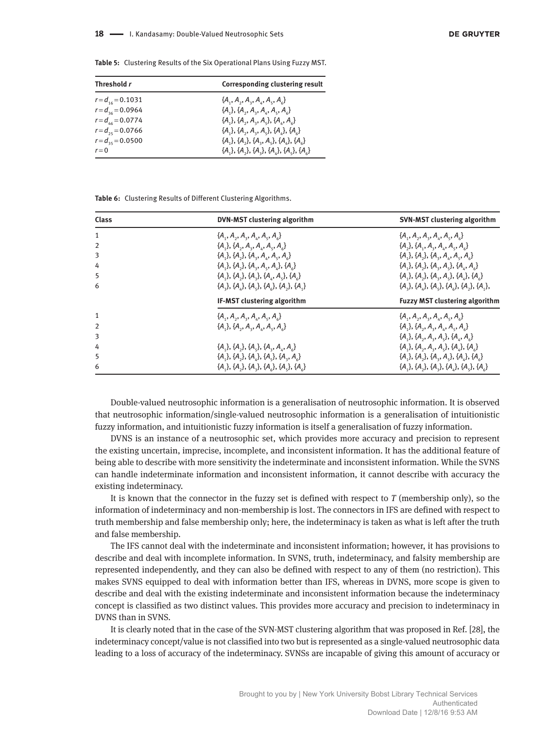**Table 5:** Clustering Results of the Six Operational Plans Using Fuzzy MST.

| Threshold r           | <b>Corresponding clustering result</b>     |
|-----------------------|--------------------------------------------|
| $r = d_{16} = 0.1031$ | ${A_1, A_2, A_3, A_4, A_5, A_6}$           |
| $r = d_{36} = 0.0964$ | ${A_1}, {A_2}, {A_3}, {A_4}, {A_5}, {A_6}$ |
| $r = d_{46} = 0.0774$ | ${A_1}, {A_2}, {A_3}, {A_4}, {A_5}, {A_6}$ |
| $r = d_{25} = 0.0766$ | ${A_1}, {A_2}, {A_3}, {A_4}, {A_5}, {A_6}$ |
| $r = d_{35} = 0.0500$ | ${A_1}, {A_2}, {A_3}, {A_4}, {A_5}, {A_6}$ |
| $r = 0$               | ${A_1}, {A_2}, {A_3}, {A_4}, {A_5}, {A_6}$ |

**Table 6:** Clustering Results of Different Clustering Algorithms.

| Class          | DVN-MST clustering algorithm                                       | <b>SVN-MST clustering algorithm</b>         |
|----------------|--------------------------------------------------------------------|---------------------------------------------|
| 1              | ${A_1, A_2, A_3, A_4, A_5, A_6}$                                   | ${A_1, A_2, A_3, A_4, A_5, A_6}$            |
| $\overline{2}$ | ${A_1}, {A_2}, {A_3}, {A_4}, {A_5}, {A_6}$                         | ${A_1}, {A_2}, {A_3}, {A_4}, {A_5}, {A_6}$  |
| 3              | ${A_1}, {A_2}, {A_3}, {A_4}, {A_5}, {A_6}$                         | ${A_1}, {A_2}, {A_3}, {A_4}, {A_5}, {A_6}$  |
| 4              | ${A_1}, {A_2}, {A_3}, {A_4}, {A_4}, {A_6}$                         | ${A_1}, {A_2}, {A_3}, {A_4}, {A_6}$         |
| 5              | ${A_1}, {A_2}, {A_3}, {A_4}, {A_5}, {A_6}$                         | ${A_1}, {A_2}, {A_3}, {A_4}, {A_4}, {A_5}$  |
| 6              | $\{A_{3}\}, \{A_{4}\}, \{A_{5}\}, \{A_{6}\}, \{A_{3}\}, \{A_{1}\}$ | ${A_3}, {A_4}, {A_5}, {A_6}, {A_7}, {A_1},$ |
|                | IF-MST clustering algorithm                                        | <b>Fuzzy MST clustering algorithm</b>       |
| $\mathbf{1}$   | ${A_1, A_2, A_3, A_4, A_5, A_6}$                                   | ${A_1, A_2, A_3, A_4, A_5, A_6}$            |
| $\overline{2}$ | ${A_1}, {A_2}, {A_3}, {A_4}, {A_5}, {A_6}$                         | ${A_1}, {A_2}, {A_3}, {A_4}, {A_5}, {A_6}$  |
| 3              |                                                                    | ${A_1}, {A_2}, {A_3}, {A_4}, {A_4}, {A_6}$  |
| 4              | ${A_1}, {A_2}, {A_3}, {A_4}, {A_4}, {A_6}$                         | ${A_1}, {A_2}, {A_3}, {A_4}, {A_5}, {A_6}$  |
| 5              | ${A_1}, {A_2}, {A_4}, {A_5}, {A_6}, {A_7}, {A_8}$                  | ${A_1}, {A_2}, {A_3}, {A_4}, {A_4}, {A_6}$  |
|                |                                                                    |                                             |

Double-valued neutrosophic information is a generalisation of neutrosophic information. It is observed that neutrosophic information/single-valued neutrosophic information is a generalisation of intuitionistic fuzzy information, and intuitionistic fuzzy information is itself a generalisation of fuzzy information.

DVNS is an instance of a neutrosophic set, which provides more accuracy and precision to represent the existing uncertain, imprecise, incomplete, and inconsistent information. It has the additional feature of being able to describe with more sensitivity the indeterminate and inconsistent information. While the SVNS can handle indeterminate information and inconsistent information, it cannot describe with accuracy the existing indeterminacy.

It is known that the connector in the fuzzy set is defined with respect to *T* (membership only), so the information of indeterminacy and non-membership is lost. The connectors in IFS are defined with respect to truth membership and false membership only; here, the indeterminacy is taken as what is left after the truth and false membership.

The IFS cannot deal with the indeterminate and inconsistent information; however, it has provisions to describe and deal with incomplete information. In SVNS, truth, indeterminacy, and falsity membership are represented independently, and they can also be defined with respect to any of them (no restriction). This makes SVNS equipped to deal with information better than IFS, whereas in DVNS, more scope is given to describe and deal with the existing indeterminate and inconsistent information because the indeterminacy concept is classified as two distinct values. This provides more accuracy and precision to indeterminacy in DVNS than in SVNS.

It is clearly noted that in the case of the SVN-MST clustering algorithm that was proposed in Ref. [28], the indeterminacy concept/value is not classified into two but is represented as a single-valued neutrosophic data leading to a loss of accuracy of the indeterminacy. SVNSs are incapable of giving this amount of accuracy or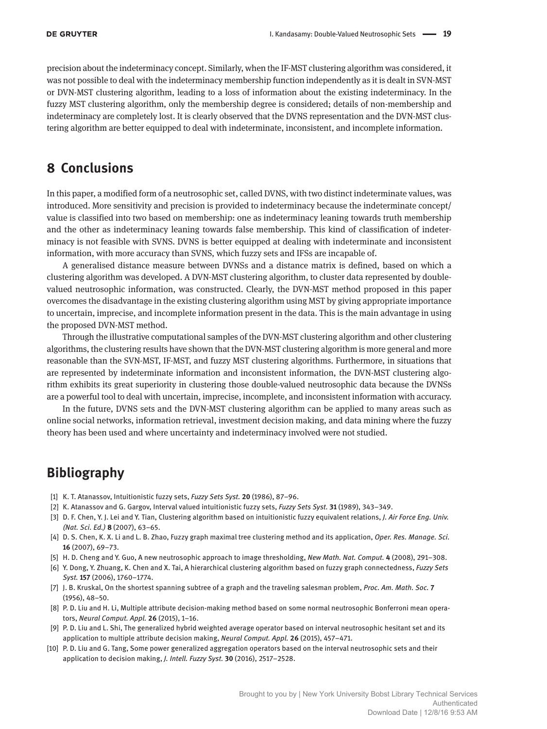precision about the indeterminacy concept. Similarly, when the IF-MST clustering algorithm was considered, it was not possible to deal with the indeterminacy membership function independently as it is dealt in SVN-MST or DVN-MST clustering algorithm, leading to a loss of information about the existing indeterminacy. In the fuzzy MST clustering algorithm, only the membership degree is considered; details of non-membership and indeterminacy are completely lost. It is clearly observed that the DVNS representation and the DVN-MST clustering algorithm are better equipped to deal with indeterminate, inconsistent, and incomplete information.

## **8 Conclusions**

In this paper, a modified form of a neutrosophic set, called DVNS, with two distinct indeterminate values, was introduced. More sensitivity and precision is provided to indeterminacy because the indeterminate concept/ value is classified into two based on membership: one as indeterminacy leaning towards truth membership and the other as indeterminacy leaning towards false membership. This kind of classification of indeterminacy is not feasible with SVNS. DVNS is better equipped at dealing with indeterminate and inconsistent information, with more accuracy than SVNS, which fuzzy sets and IFSs are incapable of.

A generalised distance measure between DVNSs and a distance matrix is defined, based on which a clustering algorithm was developed. A DVN-MST clustering algorithm, to cluster data represented by doublevalued neutrosophic information, was constructed. Clearly, the DVN-MST method proposed in this paper overcomes the disadvantage in the existing clustering algorithm using MST by giving appropriate importance to uncertain, imprecise, and incomplete information present in the data. This is the main advantage in using the proposed DVN-MST method.

Through the illustrative computational samples of the DVN-MST clustering algorithm and other clustering algorithms, the clustering results have shown that the DVN-MST clustering algorithm is more general and more reasonable than the SVN-MST, IF-MST, and fuzzy MST clustering algorithms. Furthermore, in situations that are represented by indeterminate information and inconsistent information, the DVN-MST clustering algorithm exhibits its great superiority in clustering those double-valued neutrosophic data because the DVNSs are a powerful tool to deal with uncertain, imprecise, incomplete, and inconsistent information with accuracy.

In the future, DVNS sets and the DVN-MST clustering algorithm can be applied to many areas such as online social networks, information retrieval, investment decision making, and data mining where the fuzzy theory has been used and where uncertainty and indeterminacy involved were not studied.

# **Bibliography**

- [1] K. T. Atanassov, Intuitionistic fuzzy sets, *Fuzzy Sets Syst.* **20** (1986), 87–96.
- [2] K. Atanassov and G. Gargov, Interval valued intuitionistic fuzzy sets, *Fuzzy Sets Syst.* **31** (1989), 343–349.
- [3] D. F. Chen, Y. J. Lei and Y. Tian, Clustering algorithm based on intuitionistic fuzzy equivalent relations, *J. Air Force Eng. Univ. (Nat. Sci. Ed.)* **8** (2007), 63–65.
- [4] D. S. Chen, K. X. Li and L. B. Zhao, Fuzzy graph maximal tree clustering method and its application, *Oper. Res. Manage. Sci.* **16** (2007), 69–73.
- [5] H. D. Cheng and Y. Guo, A new neutrosophic approach to image thresholding, *New Math. Nat. Comput.* **4** (2008), 291–308.
- [6] Y. Dong, Y. Zhuang, K. Chen and X. Tai, A hierarchical clustering algorithm based on fuzzy graph connectedness, *Fuzzy Sets Syst.* **157** (2006), 1760–1774.
- [7] J. B. Kruskal, On the shortest spanning subtree of a graph and the traveling salesman problem, *Proc. Am. Math. Soc.* **7** (1956), 48–50.
- [8] P. D. Liu and H. Li, Multiple attribute decision-making method based on some normal neutrosophic Bonferroni mean operators, *Neural Comput. Appl.* **26** (2015), 1–16.
- [9] P. D. Liu and L. Shi, The generalized hybrid weighted average operator based on interval neutrosophic hesitant set and its application to multiple attribute decision making, *Neural Comput. Appl.* **26** (2015), 457–471.
- [10] P. D. Liu and G. Tang, Some power generalized aggregation operators based on the interval neutrosophic sets and their application to decision making, *J. Intell. Fuzzy Syst.* **30** (2016), 2517–2528.